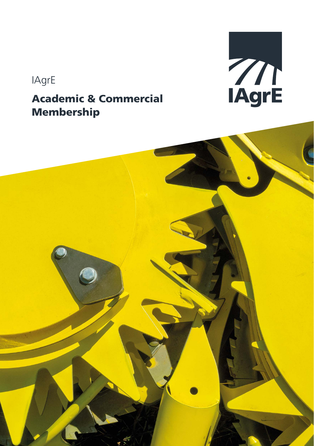# IAgrE

### Academic & Commercial Membership